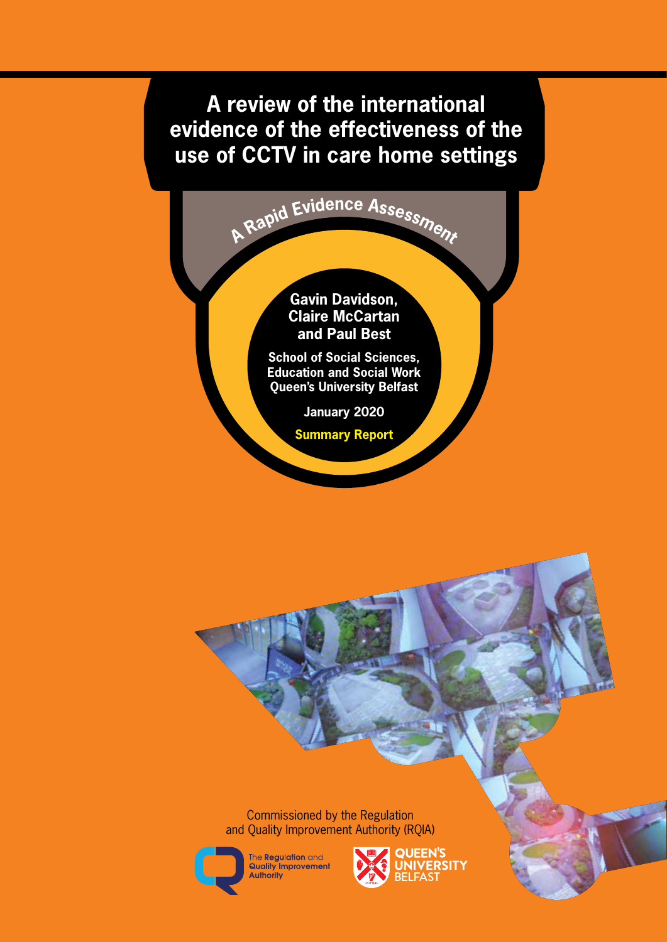# **A review of the international evidence of the effectiveness of the use of CCTV in care home settings**

**<sup>A</sup> <sup>R</sup>api<sup>d</sup> <sup>E</sup>videnc<sup>e</sup> <sup>A</sup>ssessmen<sup>t</sup>**

**Gavin Davidson, Claire McCartan and Paul Best**

**School of Social Sciences, Education and Social Work Queen's University Belfast**

**January 2020**

**Summary Report**

Commissioned by the Regulation and Quality Improvement Authority (RQIA)



The Regulation and<br>Quality Improvement Authority

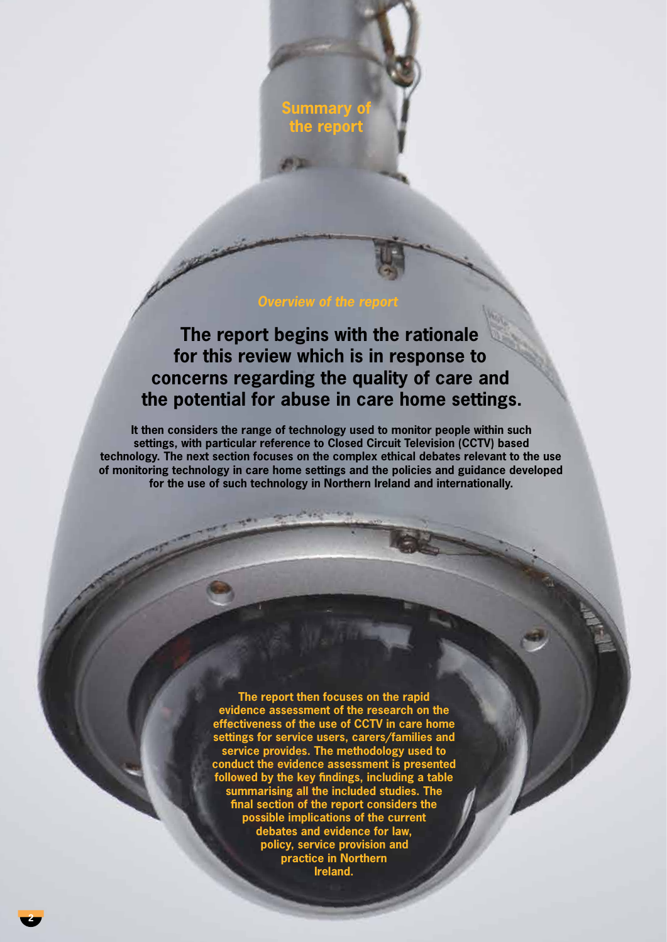**ummary the report**

## *Overview of the report*

**The report begins with the rationale for this review which is in response to concerns regarding the quality of care and the potential for abuse in care home settings.** 

**It then considers the range of technology used to monitor people within such settings, with particular reference to Closed Circuit Television (CCTV) based technology. The next section focuses on the complex ethical debates relevant to the use of monitoring technology in care home settings and the policies and guidance developed for the use of such technology in Northern Ireland and internationally.** 

> **The report then focuses on the rapid evidence assessment of the research on the effectiveness of the use of CCTV in care home settings for service users, carers/families and service provides. The methodology used to conduct the evidence assessment is presented followed by the key findings, including a table summarising all the included studies. The final section of the report considers the possible implications of the current debates and evidence for law, policy, service provision and practice in Northern Ireland.**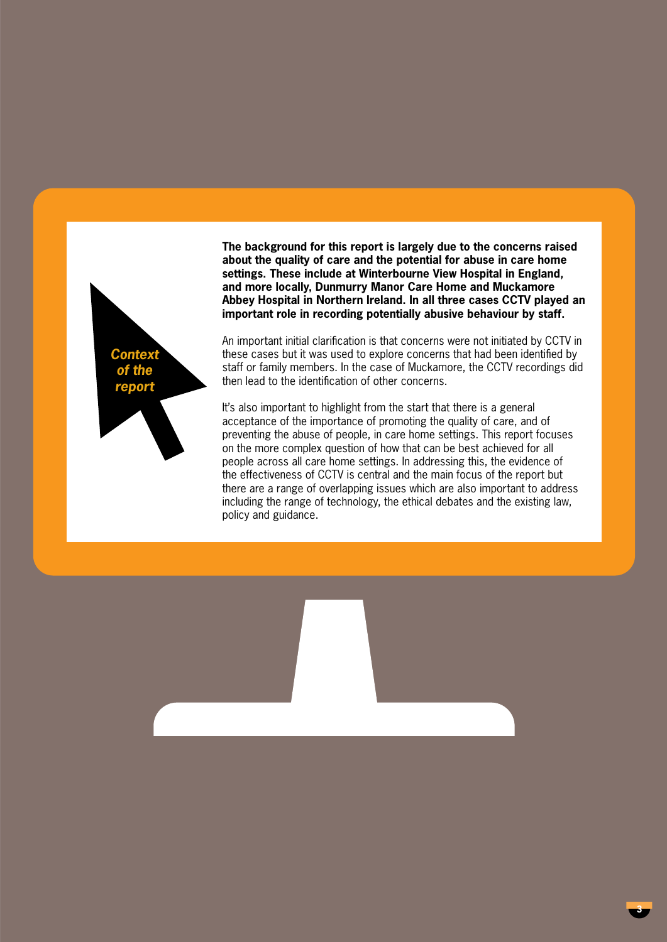

**The background for this report is largely due to the concerns raised about the quality of care and the potential for abuse in care home settings. These include at Winterbourne View Hospital in England, and more locally, Dunmurry Manor Care Home and Muckamore Abbey Hospital in Northern Ireland. In all three cases CCTV played an important role in recording potentially abusive behaviour by staff.** 

An important initial clarification is that concerns were not initiated by CCTV in these cases but it was used to explore concerns that had been identified by staff or family members. In the case of Muckamore, the CCTV recordings did then lead to the identification of other concerns.

It's also important to highlight from the start that there is a general acceptance of the importance of promoting the quality of care, and of preventing the abuse of people, in care home settings. This report focuses on the more complex question of how that can be best achieved for all people across all care home settings. In addressing this, the evidence of the effectiveness of CCTV is central and the main focus of the report but there are a range of overlapping issues which are also important to address including the range of technology, the ethical debates and the existing law, policy and guidance.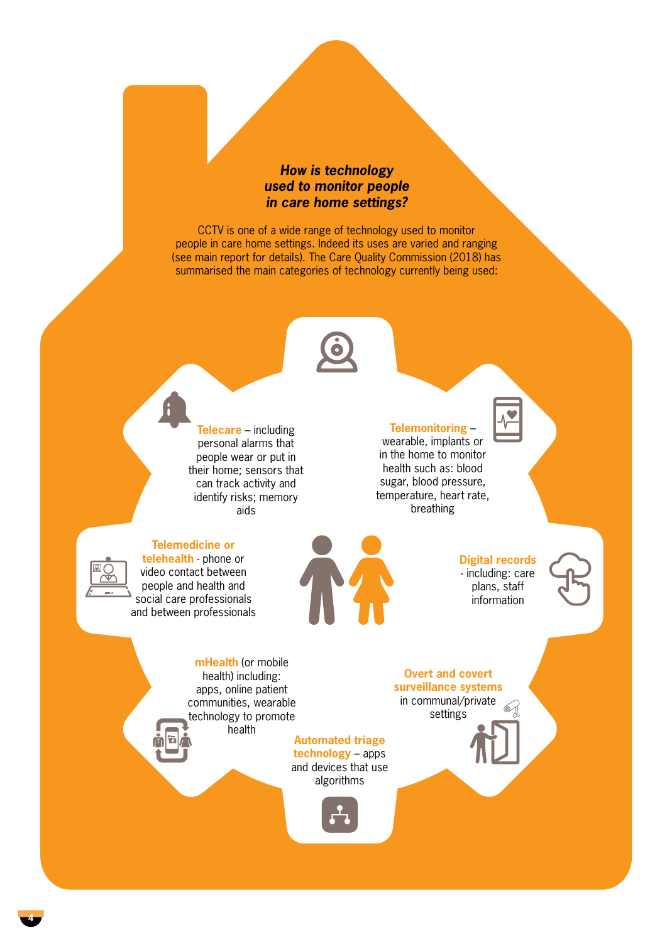# *How is technology used to monitor people in care home settings?*

CCTV is one of a wide range of technology used to monitor people in care home settings. Indeed its uses are varied and ranging (see main report for details). The Care Quality Commission (2018) has summarised the main categories of technology currently being used:



**Telecare** – including personal alarms that people wear or put in their home; sensors that can track activity and identify risks; memory aids

### **Telemonitoring** –

wearable, implants or in the home to monitor health such as: blood sugar, blood pressure, temperature, heart rate, breathing





**Telemedicine or telehealth** - phone or video contact between people and health and social care professionals and between professionals

**Digital records** - including: care plans, staff information



**mHealth** (or mobile health) including: apps, online patient communities, wearable technology to promote health

**Automated triage technology** – apps and devices that use algorithms



**Overt and covert surveillance systems** in communal/private

settings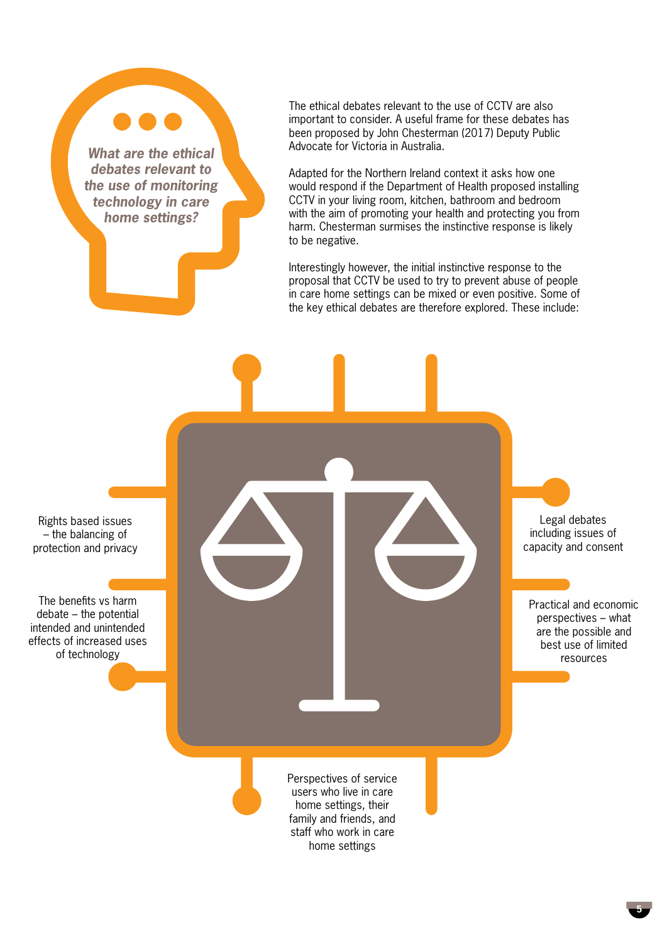*What are the ethical debates relevant to the use of monitoring technology in care home settings?*

The ethical debates relevant to the use of CCTV are also important to consider. A useful frame for these debates has been proposed by John Chesterman (2017) Deputy Public Advocate for Victoria in Australia.

Adapted for the Northern Ireland context it asks how one would respond if the Department of Health proposed installing CCTV in your living room, kitchen, bathroom and bedroom with the aim of promoting your health and protecting you from harm. Chesterman surmises the instinctive response is likely to be negative.

Interestingly however, the initial instinctive response to the proposal that CCTV be used to try to prevent abuse of people in care home settings can be mixed or even positive. Some of the key ethical debates are therefore explored. These include:

Rights based issues – the balancing of protection and privacy

The benefits vs harm debate – the potential intended and unintended effects of increased uses of technology

Perspectives of service users who live in care Legal debates including issues of capacity and consent Practical and economic perspectives – what are the possible and best use of limited resources

home settings, their family and friends, and staff who work in care home settings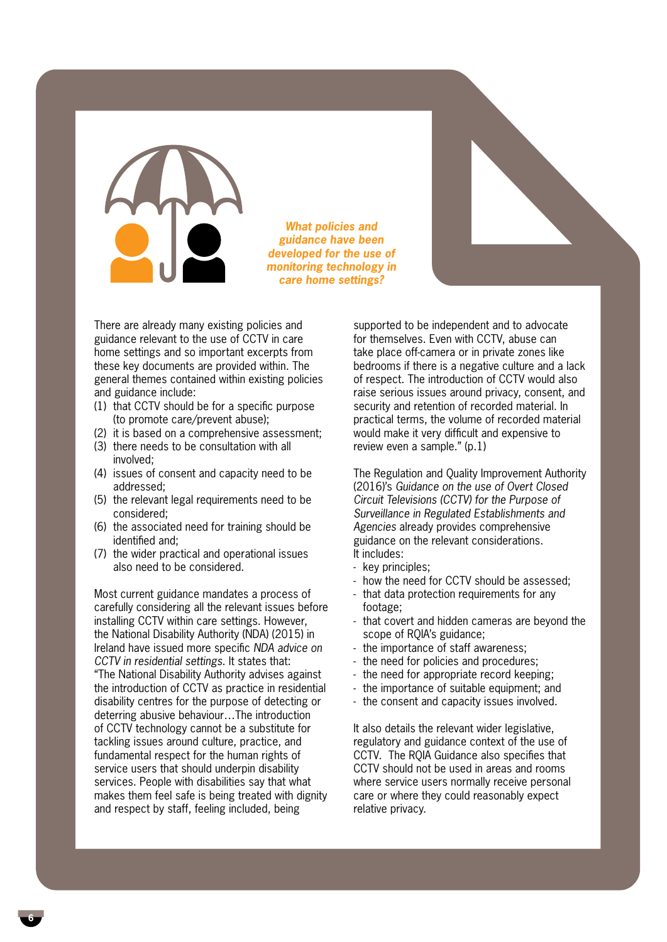*What policies and guidance have been developed for the use of monitoring technology in care home settings?*

There are already many existing policies and guidance relevant to the use of CCTV in care home settings and so important excerpts from these key documents are provided within. The general themes contained within existing policies and guidance include:

- (1) that CCTV should be for a specific purpose (to promote care/prevent abuse);
- (2) it is based on a comprehensive assessment;
- (3) there needs to be consultation with all involved;
- (4) issues of consent and capacity need to be addressed;
- (5) the relevant legal requirements need to be considered;
- (6) the associated need for training should be identified and;
- (7) the wider practical and operational issues also need to be considered.

Most current guidance mandates a process of carefully considering all the relevant issues before installing CCTV within care settings. However, the National Disability Authority (NDA) (2015) in Ireland have issued more specific *NDA advice on CCTV in residential settings*. It states that: "The National Disability Authority advises against the introduction of CCTV as practice in residential disability centres for the purpose of detecting or deterring abusive behaviour…The introduction of CCTV technology cannot be a substitute for tackling issues around culture, practice, and fundamental respect for the human rights of service users that should underpin disability services. People with disabilities say that what makes them feel safe is being treated with dignity and respect by staff, feeling included, being

supported to be independent and to advocate for themselves. Even with CCTV, abuse can take place off-camera or in private zones like bedrooms if there is a negative culture and a lack of respect. The introduction of CCTV would also raise serious issues around privacy, consent, and security and retention of recorded material. In practical terms, the volume of recorded material would make it very difficult and expensive to review even a sample." (p.1)

The Regulation and Quality Improvement Authority (2016)'s *Guidance on the use of Overt Closed Circuit Televisions (CCTV) for the Purpose of Surveillance in Regulated Establishments and Agencies* already provides comprehensive guidance on the relevant considerations. It includes:

- key principles;
- how the need for CCTV should be assessed;
- that data protection requirements for any footage;
- that covert and hidden cameras are beyond the scope of RQIA's guidance;
- the importance of staff awareness;
- the need for policies and procedures;
- the need for appropriate record keeping;
- the importance of suitable equipment; and
- the consent and capacity issues involved.

It also details the relevant wider legislative, regulatory and guidance context of the use of CCTV. The RQIA Guidance also specifies that CCTV should not be used in areas and rooms where service users normally receive personal care or where they could reasonably expect relative privacy.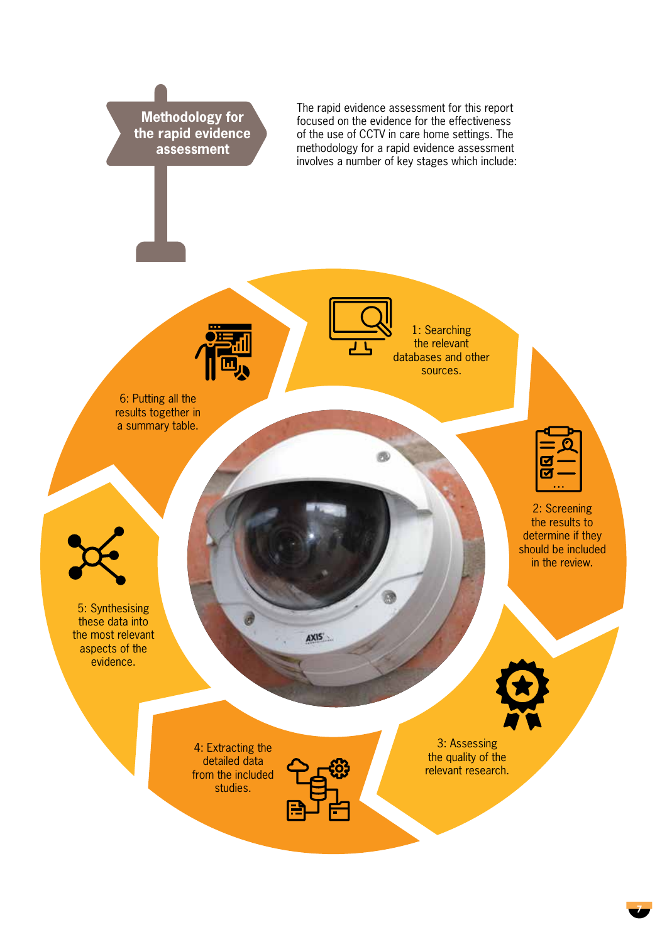

**7**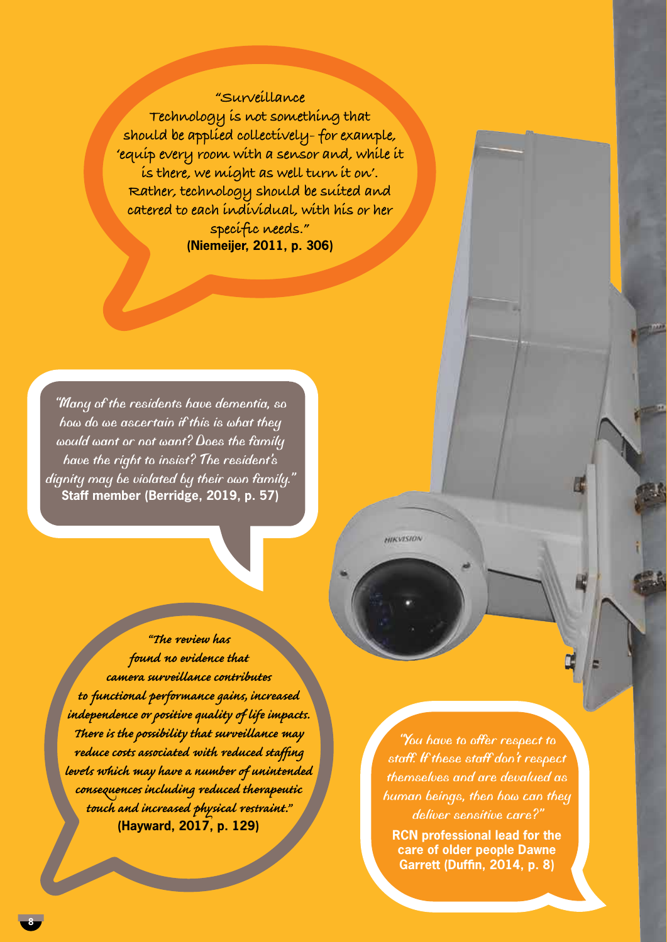# **"Surveillance**

**Technology is not something that should be applied collectively- for example, 'equip every room with a sensor and, while it is there, we might as well turn it on'. Rather, technology should be suited and catered to each individual, with his or her specific needs." (Niemeijer, 2011, p. 306)**

*"Many of the residents have dementia, so how do we ascertain if this is what they would want or not want? Does the family have the right to insist? The resident's dignity may be violated by their own family."* **Staff member (Berridge, 2019, p. 57)**

*"The review has found no evidence that camera surveillance contributes to functional performance gains, increased independence or positive quality of life impacts. There is the possibility that surveillance may reduce costs associated with reduced staffing levels which may have a number of unintended consequences including reduced therapeutic touch and increased physical restraint."* **(Hayward, 2017, p. 129)**

*"You have to offer respect to staff. If these staff don't respect themselves and are devalued as human beings, then how can they deliver sensitive care?"*

HIKVISION

**RCN professional lead for the care of older people Dawne Garrett (Duffin, 2014, p. 8)**

**8**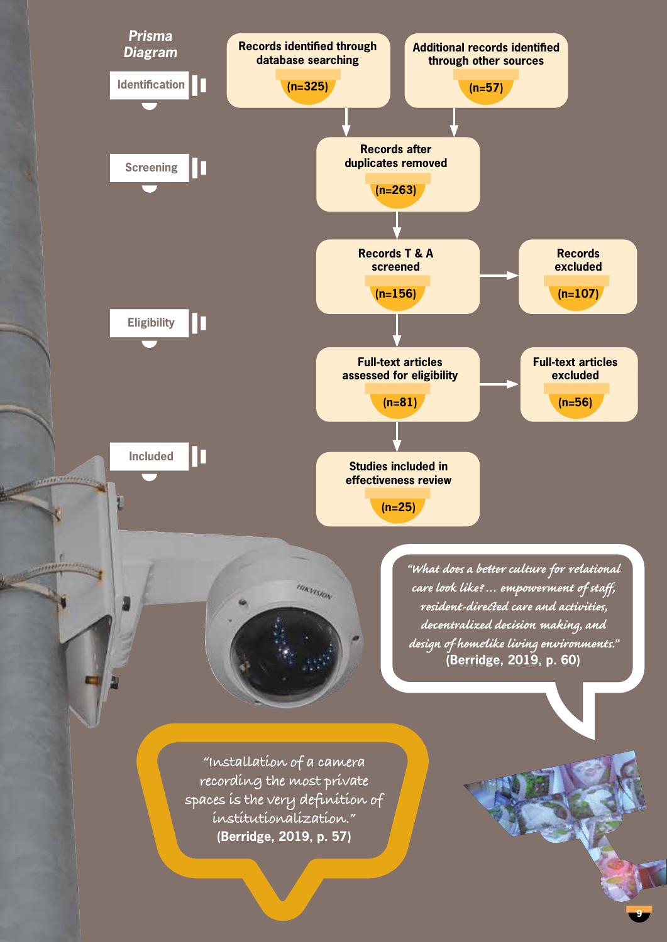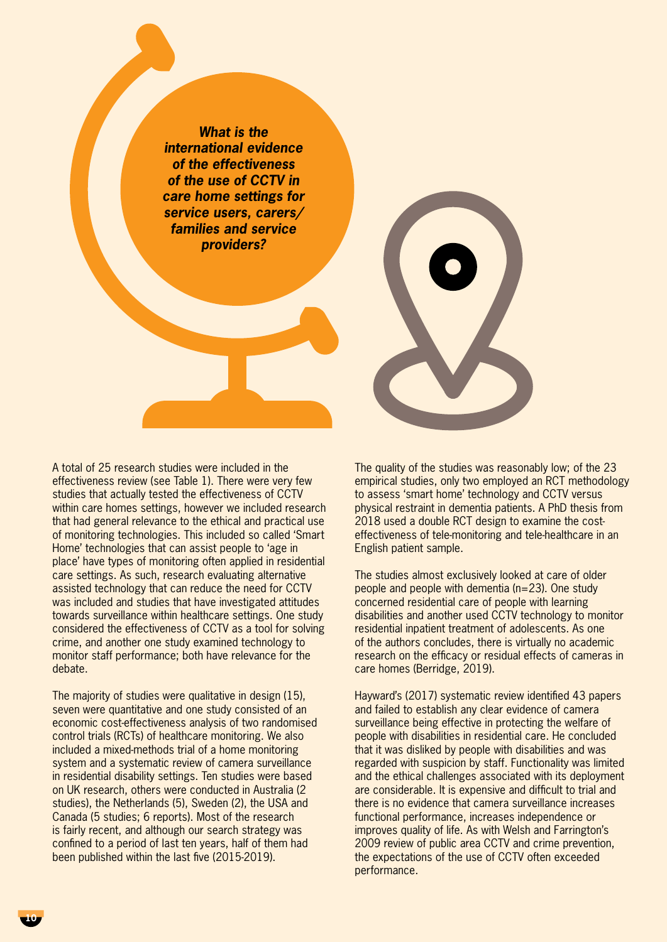*What is the international evidence of the effectiveness of the use of CCTV in care home settings for service users, carers/ families and service providers?* 

A total of 25 research studies were included in the effectiveness review (see Table 1). There were very few studies that actually tested the effectiveness of CCTV within care homes settings, however we included research that had general relevance to the ethical and practical use of monitoring technologies. This included so called 'Smart Home' technologies that can assist people to 'age in place' have types of monitoring often applied in residential care settings. As such, research evaluating alternative assisted technology that can reduce the need for CCTV was included and studies that have investigated attitudes towards surveillance within healthcare settings. One study considered the effectiveness of CCTV as a tool for solving crime, and another one study examined technology to monitor staff performance; both have relevance for the debate.

The majority of studies were qualitative in design (15), seven were quantitative and one study consisted of an economic cost-effectiveness analysis of two randomised control trials (RCTs) of healthcare monitoring. We also included a mixed-methods trial of a home monitoring system and a systematic review of camera surveillance in residential disability settings. Ten studies were based on UK research, others were conducted in Australia (2 studies), the Netherlands (5), Sweden (2), the USA and Canada (5 studies; 6 reports). Most of the research is fairly recent, and although our search strategy was confined to a period of last ten years, half of them had been published within the last five (2015-2019).

The quality of the studies was reasonably low; of the 23 empirical studies, only two employed an RCT methodology to assess 'smart home' technology and CCTV versus physical restraint in dementia patients. A PhD thesis from 2018 used a double RCT design to examine the costeffectiveness of tele-monitoring and tele-healthcare in an English patient sample.

The studies almost exclusively looked at care of older people and people with dementia (n=23). One study concerned residential care of people with learning disabilities and another used CCTV technology to monitor residential inpatient treatment of adolescents. As one of the authors concludes, there is virtually no academic research on the efficacy or residual effects of cameras in care homes (Berridge, 2019).

Hayward's (2017) systematic review identified 43 papers and failed to establish any clear evidence of camera surveillance being effective in protecting the welfare of people with disabilities in residential care. He concluded that it was disliked by people with disabilities and was regarded with suspicion by staff. Functionality was limited and the ethical challenges associated with its deployment are considerable. It is expensive and difficult to trial and there is no evidence that camera surveillance increases functional performance, increases independence or improves quality of life. As with Welsh and Farrington's 2009 review of public area CCTV and crime prevention, the expectations of the use of CCTV often exceeded performance.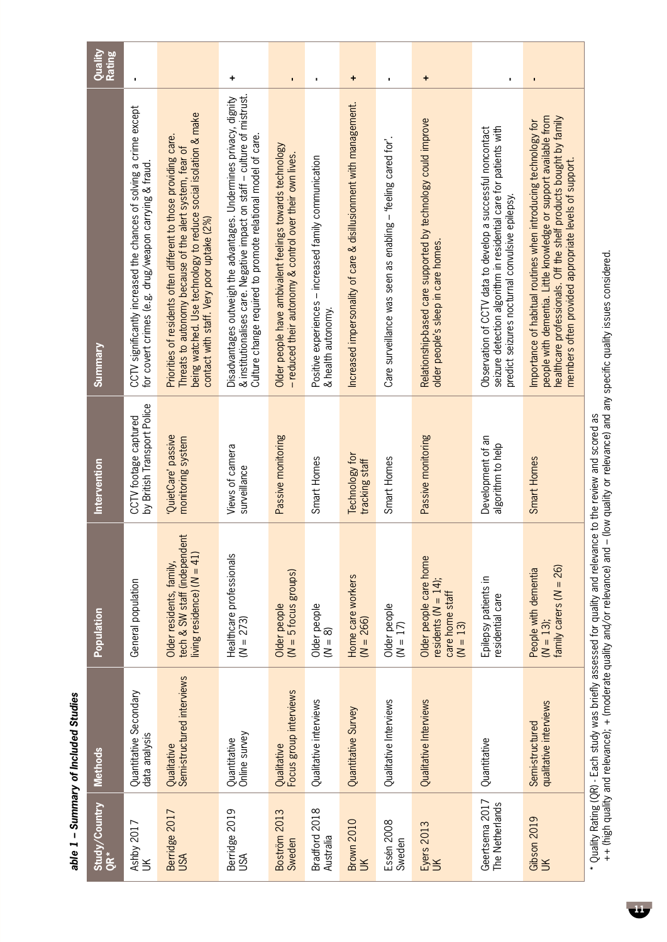|                                   | able 1 - Summary of Included Studies      |                                                                                          |                                                      |                                                                                                                                                                                                                                                                   |                          |
|-----------------------------------|-------------------------------------------|------------------------------------------------------------------------------------------|------------------------------------------------------|-------------------------------------------------------------------------------------------------------------------------------------------------------------------------------------------------------------------------------------------------------------------|--------------------------|
| Study/Country<br><b>ÖR*</b>       | <b>Methods</b>                            | Population                                                                               | Intervention                                         | <b>Summary</b>                                                                                                                                                                                                                                                    | Quality<br><b>Rating</b> |
| Ashby 2017<br>UK                  | Quantitative Secondary<br>data analysis   | General population                                                                       | by British Transport Police<br>CCTV footage captured | CCTV significantly increased the chances of solving a crime except<br>for covert crimes (e.g. drug/weapon carrying & fraud.                                                                                                                                       |                          |
| Berridge 2017<br>USA              | Semi-structured interviews<br>Qualitative | Older residents, family,<br>tech & SW staff (independent<br>living residence) $(N = 41)$ | QuietCare' passive<br>monitoring system              | being watched. Use technology to reduce social isolation & make<br>Priorities of residents often different to those providing care.<br>Threats to autonomy because of the alert system, fear of<br>contact with staff. Very poor uptake (2%)                      |                          |
| Berridge 2019<br>USA              | Online survey<br>Quantitative             | Healthcare professionals<br>$(N = 273)$                                                  | Views of camera<br>surveillance                      | & institutionalises care. Negative impact on staff - culture of mistrust.<br>Disadvantages outweigh the advantages. Undermines privacy, dignity<br>Culture change required to promote relational model of care.                                                   | +                        |
| Boström 2013<br>Sweden            | Focus group interviews<br>Qualitative     | $(N = 5$ focus groups)<br>Older people                                                   | Passive monitoring                                   | Older people have ambivalent feelings towards technology<br>- reduced their autonomy & control over their own lives.                                                                                                                                              | $\blacksquare$           |
| Bradford 2018<br>Australia        | Qualitative interviews                    | Older people<br>$(N = 8)$                                                                | Smart Homes                                          | Positive experiences - increased family communication<br>& health autonomy.                                                                                                                                                                                       | ×                        |
| <b>Brown 2010</b><br>$\leq$       | Quantitative Survey                       | Home care workers<br>$(N = 266)$                                                         | Technology for<br>tracking staff                     | Increased impersonality of care & disillusionment with management.                                                                                                                                                                                                | +                        |
| Essén 2008<br>Sweden              | Qualitative Interviews                    | Older people<br>$(N = 17)$                                                               | Smart Homes                                          | Care surveillance was seen as enabling - "feeling cared for".                                                                                                                                                                                                     | ×                        |
| Eyers 2013<br>UK                  | Qualitative Interviews                    | Older people care home<br>residents $(N = 14)$ ;<br>care home staff<br>$(N = 13)$        | Passive monitoring                                   | Relationship-based care supported by technology could improve<br>older people's sleep in care homes.                                                                                                                                                              | ٠                        |
| Geertsema 2017<br>The Netherlands | Quantitative                              | Epilepsy patients in<br>residential care                                                 | Development of an<br>algorithm to help               | seizure detection algorithm in residential care for patients with<br>Observation of CCTV data to develop a successful noncontact<br>predict seizures nocturnal convulsive epilepsy.                                                                               | ı                        |
| Gibson 2019<br>UK                 | qualitative interviews<br>Semi-structured | family carers $(N = 26)$<br>People with dementia<br>$(N = 13);$                          | Smart Homes                                          | people with dementia. Little knowledge or support available from<br>healthcare professionals. Off the shelf products bought by family<br>Importance of habitual routines when introducing technology for<br>members often provided appropriate levels of support. | ı                        |

\* Quality Rating (QR) - Each study was briefly assessed for quality and relevance to the review and scored as<br>++ (high quality and relevance); + (moderate quality and/or relevance) and – (low quality or relevance) and any ++ (high quality and relevance); + (moderate quality and/or relevance) and – (low quality or relevance) and any specific quality issues considered. \* Quality Rating (QR) - Each study was briefly assessed for quality and relevance to the review and scored as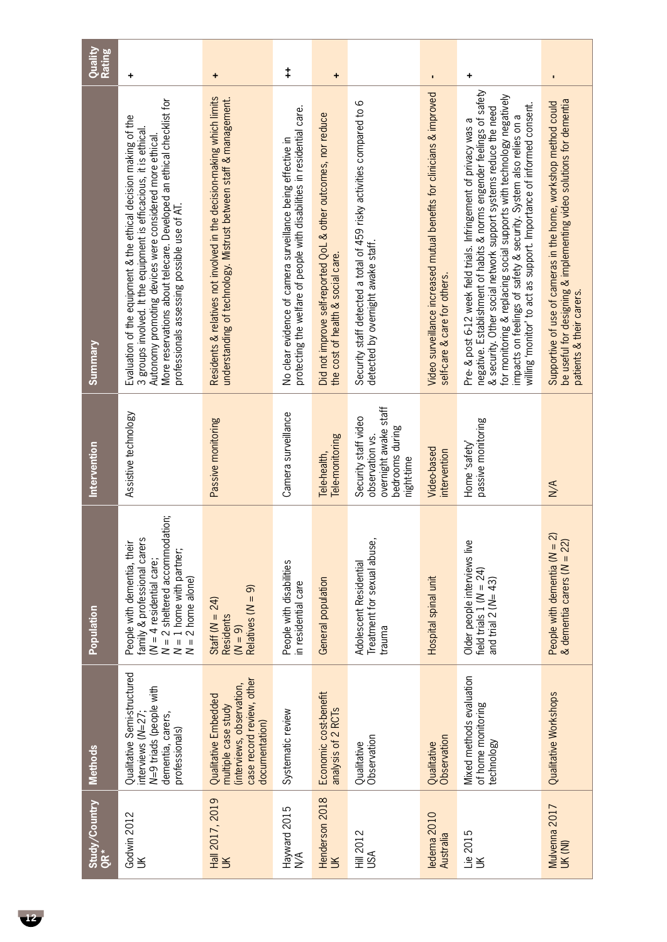| Quality<br><b>Rating</b> | ٠                                                                                                                                                                                                                                                                                                                        | ٠                                                                                                                                           | $^\ddag$                                                                                                                               | +                                                                                                   |                                                                                                             | $\blacksquare$                                                                                         | +                                                                                                                                                                                                                                                                                                                                                                                                                                    |                                                                                                                                                                    |
|--------------------------|--------------------------------------------------------------------------------------------------------------------------------------------------------------------------------------------------------------------------------------------------------------------------------------------------------------------------|---------------------------------------------------------------------------------------------------------------------------------------------|----------------------------------------------------------------------------------------------------------------------------------------|-----------------------------------------------------------------------------------------------------|-------------------------------------------------------------------------------------------------------------|--------------------------------------------------------------------------------------------------------|--------------------------------------------------------------------------------------------------------------------------------------------------------------------------------------------------------------------------------------------------------------------------------------------------------------------------------------------------------------------------------------------------------------------------------------|--------------------------------------------------------------------------------------------------------------------------------------------------------------------|
| <u>Summary</u>           | More reservations about telecare. Developed an ethical checklist for<br>Evaluation of the equipment & the ethical decision making of the<br>3 groups involved. It the equipment is efficacious, it is ethical.<br>Autonomy promoting devices were considered more ethical<br>professionals assessing possible use of AT. | Residents & relatives not involved in the decision-making which limits<br>understanding of technology. Mistrust between staff & management. | protecting the welfare of people with disabilities in residential care.<br>No clear evidence of camera surveillance being effective in | Did not improve self-reported QoL & other outcomes, nor reduce<br>the cost of health & social care. | Security staff detected a total of 459 risky activities compared to 6<br>detected by overnight awake staff. | Video surveillance increased mutual benefits for clinicians & improved<br>self-care & care for others. | negative. Establishment of habits & norms engender feelings of safety<br>for monitoring & replacing social supports with technology negatively<br>willing 'monitor' to act as support. Importance of informed consent.<br>& security. Other social network support systems reduce the need<br>impacts on feelings of safety & security. System also relies on a<br>Pre- & post 6-12 week field trials. Infringement of privacy was a | be useful for designing & implementing video solutions for dementia<br>Supportive of use of cameras in the home, workshop method could<br>patients & their carers. |
| Intervention             | Assistive technology                                                                                                                                                                                                                                                                                                     | Passive monitoring                                                                                                                          | Camera surveillance                                                                                                                    | Tele-monitoring<br>Tele-health,                                                                     | overnight awake staff<br>Security staff video<br>bedrooms during<br>observation vs.<br>night-time           | Video-based<br>intervention                                                                            | passive monitoring<br>Home 'safety'                                                                                                                                                                                                                                                                                                                                                                                                  | $M^{\prime}$                                                                                                                                                       |
| Population               | $N = 2$ sheltered accommodation;<br>$N = 1$ home with partner;<br>$N = 2$ home alone)<br>family & professional carers<br>People with dementia, their<br>$(N = 4$ residential care;                                                                                                                                       | Relatives $(N = 9)$<br>Staff ( $N = 24$ )<br><b>Residents</b><br>$(N = 9)$                                                                  | People with disabilities<br>in residential care                                                                                        | General population                                                                                  | Treatment for sexual abuse<br>Adolescent Residential<br>trauma                                              | Hospital spinal unit                                                                                   | Older people interviews live<br>field trials $1 (N = 24)$<br>and trial $2 (N = 43)$                                                                                                                                                                                                                                                                                                                                                  | $\widehat{\mathcal{N}}$<br>& dementia carers ( $N = 22$<br>People with dementia $(N =$                                                                             |
| <b>Methods</b>           | Qualitative Semi-structured<br>N=9 triads (people with<br>dementia, carers,<br>interviews $(N=27)$<br>professionals)                                                                                                                                                                                                     | case record review, other<br>(interviews, observation,<br>Qualitative Embedded<br>multiple case study<br>documentation)                     | Systematic review                                                                                                                      | Economic cost-benefit<br>analysis of 2 RCTs                                                         | Observation<br>Qualitative                                                                                  | Observation<br>Qualitative                                                                             | Mixed methods evaluation<br>of home monitoring<br>technology                                                                                                                                                                                                                                                                                                                                                                         | Qualitative Workshops                                                                                                                                              |
| Study/Country<br>QR*     | Godwin 2012<br>$\leq$                                                                                                                                                                                                                                                                                                    | Hall 2017, 2019<br>$\geq$                                                                                                                   | Hayward 2015<br>N/A                                                                                                                    | Henderson 2018<br>$\leq$                                                                            | <b>Hill 2012</b><br>USA                                                                                     | ledema 2010<br>Australia                                                                               | Lie 2015<br>UK                                                                                                                                                                                                                                                                                                                                                                                                                       | Mulvenna 2017<br>UK (NI)                                                                                                                                           |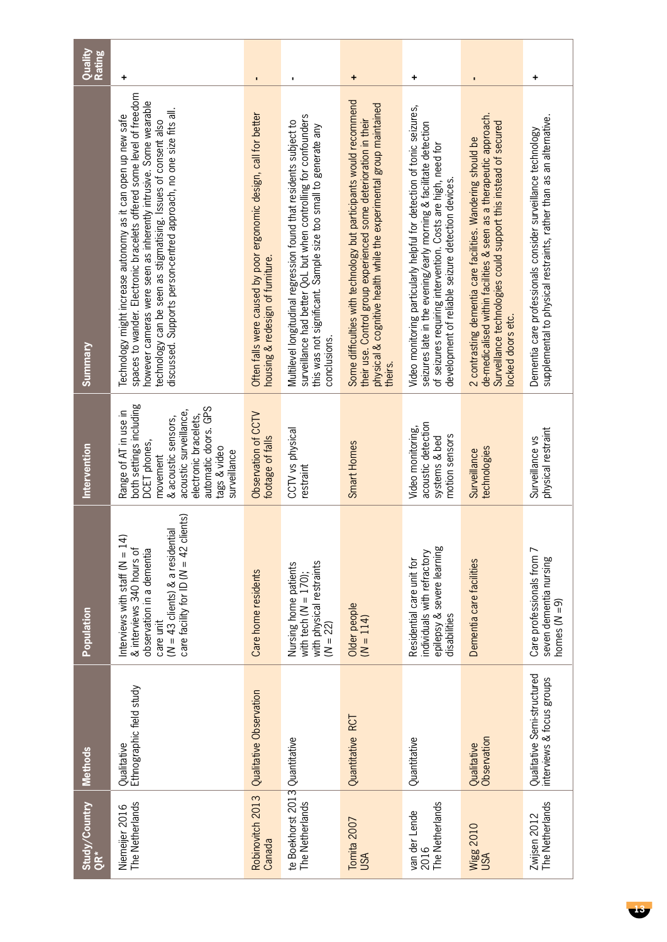| Quality<br><b>Rating</b> | ٠                                                                                                                                                                                                                                                                                                                                                 | $\blacksquare$                                                                                        |                                                                                                                                                                                                                           | ٠                                                                                                                                                                                                                        | +                                                                                                                                                                                                                                                                 | $\blacksquare$                                                                                                                                                                                                           | +                                                                                                                                   |
|--------------------------|---------------------------------------------------------------------------------------------------------------------------------------------------------------------------------------------------------------------------------------------------------------------------------------------------------------------------------------------------|-------------------------------------------------------------------------------------------------------|---------------------------------------------------------------------------------------------------------------------------------------------------------------------------------------------------------------------------|--------------------------------------------------------------------------------------------------------------------------------------------------------------------------------------------------------------------------|-------------------------------------------------------------------------------------------------------------------------------------------------------------------------------------------------------------------------------------------------------------------|--------------------------------------------------------------------------------------------------------------------------------------------------------------------------------------------------------------------------|-------------------------------------------------------------------------------------------------------------------------------------|
| Summary                  | spaces to wander. Electronic bracelets offered some level of freedom<br>however cameras were seen as inherently intrusive. Some wearable<br>discussed. Supports person-centred approach, no one size fits all.<br>Technology might increase autonomy as it can open up new safe<br>technology can be seen as stigmatising. Issues of consent also | Often falls were caused by poor ergonomic design, call for better<br>housing & redesign of furniture. | surveillance had better QoL but when controlling for confounders<br>Multilevel longitudinal regression found that residents subject to<br>this was not significant. Sample size too small to generate any<br>conclusions. | Some difficulties with technology but participants would recommend<br>physical & cognitive health while the experimental group maintained<br>their use. Control group experienced some deterioration in their<br>theirs. | Video monitoring particularly helpful for detection of tonic seizures,<br>seizures late in the evening/early morning & facilitate detection<br>of seizures requiring intervention. Costs are high, need for<br>development of reliable seizure detection devices. | de-medicalised within facilities & seen as a therapeutic approach.<br>Surveillance technologies could support this instead of secured<br>2 contrasting dementia care facilities. Wandering should be<br>ocked doors etc. | supplemental to physical restraints, rather than as an alternative.<br>Dementia care professionals consider surveillance technology |
| Intervention             | both settings including<br>automatic doors. GPS<br>acoustic surveillance,<br>Range of AT in use in<br>electronic bracelets,<br>& acoustic sensors,<br>DCET phones,<br>tags & video<br>surveillance<br>movement                                                                                                                                    | Observation of CCTV<br>footage of falls                                                               | CCTV vs physical<br>restraint                                                                                                                                                                                             | Smart Homes                                                                                                                                                                                                              | acoustic detection<br>Video monitoring,<br>motion sensors<br>systems & bed                                                                                                                                                                                        | technologies<br>Surveillance                                                                                                                                                                                             | physical restraint<br>Surveillance vs                                                                                               |
| Population               | clients)<br>$(N = 43$ clients) & a residential<br>€<br>Interviews with staff ( $N = 1$<br>care facility for ID ( $N = 42$<br>& interviews 340 hours of<br>observation in a dementia<br>care unit                                                                                                                                                  | Care home residents                                                                                   | with physical restraints<br>$(M = 22)$<br>Nursing home patients<br>with tech ( $N = 170$ );                                                                                                                               | Older people<br>$(N = 114)$                                                                                                                                                                                              | epilepsy & severe learning<br>individuals with refractory<br>Residential care unit for<br>disabilities                                                                                                                                                            | Dementia care facilities                                                                                                                                                                                                 | Care professionals from 7<br>seven dementia nursing<br>homes $(N = 9)$                                                              |
| <b>Methods</b>           | Ethnographic field study<br>Qualitative                                                                                                                                                                                                                                                                                                           | Qualitative Observation                                                                               |                                                                                                                                                                                                                           | Quantitative RCT                                                                                                                                                                                                         | Quantitative                                                                                                                                                                                                                                                      | Observation<br>Qualitative                                                                                                                                                                                               | Qualitative Semi-structured<br>interviews & focus groups                                                                            |
| Study/Country<br>QR*     | The Netherlands<br>Niemeijer 2016                                                                                                                                                                                                                                                                                                                 | Robinovitch 2013<br>Canada                                                                            | te Boekhorst 2013 Quantitative<br>The Netherlands                                                                                                                                                                         | Tomita 2007<br>USA                                                                                                                                                                                                       | The Netherlands<br>van der Lende<br>2016                                                                                                                                                                                                                          | <b>Wigg 2010</b><br>USA                                                                                                                                                                                                  | The Netherlands<br>Zwijsen 2012                                                                                                     |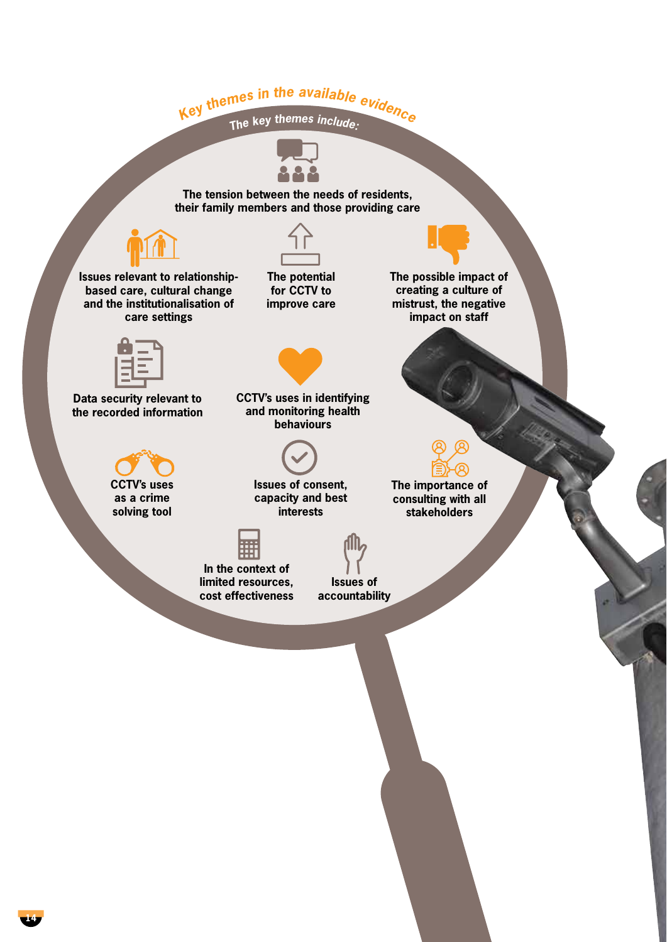# Key themes in the available evidence





**The tension between the needs of residents, their family members and those providing care**



**Issues relevant to relationshipbased care, cultural change and the institutionalisation of care settings**



**The potential for CCTV to improve care**



**The possible impact of creating a culture of mistrust, the negative impact on staff**

**The importance of consulting with all stakeholders**



**Data security relevant to the recorded information**



**as a crime solving tool** 



**CCTV's uses in identifying and monitoring health behaviours**



**Issues of consent, capacity and best interests**



**In the context of limited resources, cost effectiveness**

**Issues of accountability**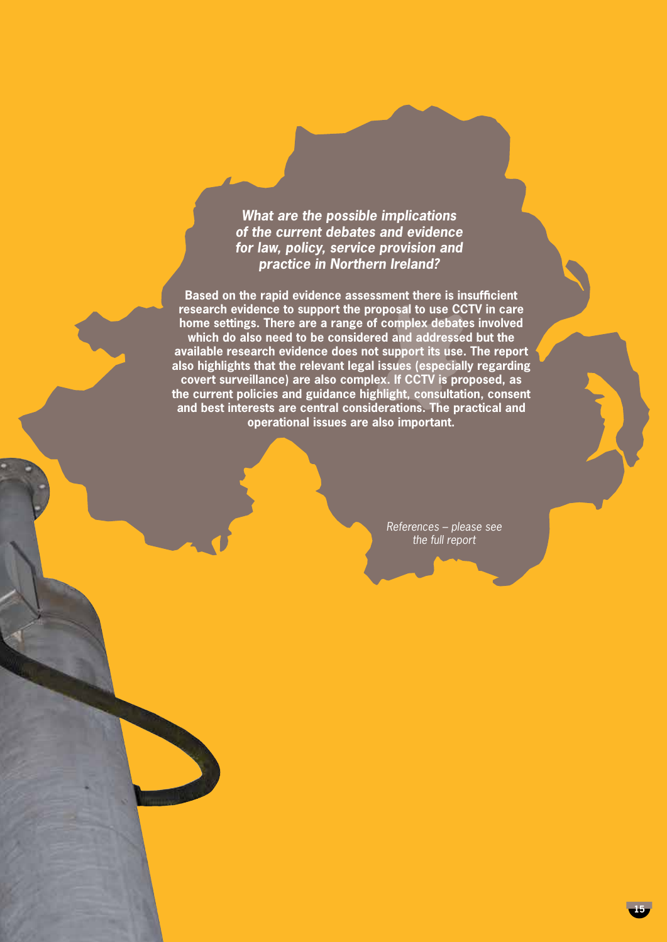*What are the possible implications of the current debates and evidence for law, policy, service provision and practice in Northern Ireland?*

**Based on the rapid evidence assessment there is insufficient research evidence to support the proposal to use CCTV in care home settings. There are a range of complex debates involved which do also need to be considered and addressed but the available research evidence does not support its use. The report also highlights that the relevant legal issues (especially regarding covert surveillance) are also complex. If CCTV is proposed, as the current policies and guidance highlight, consultation, consent and best interests are central considerations. The practical and operational issues are also important.** 

> *References – please see the full report*